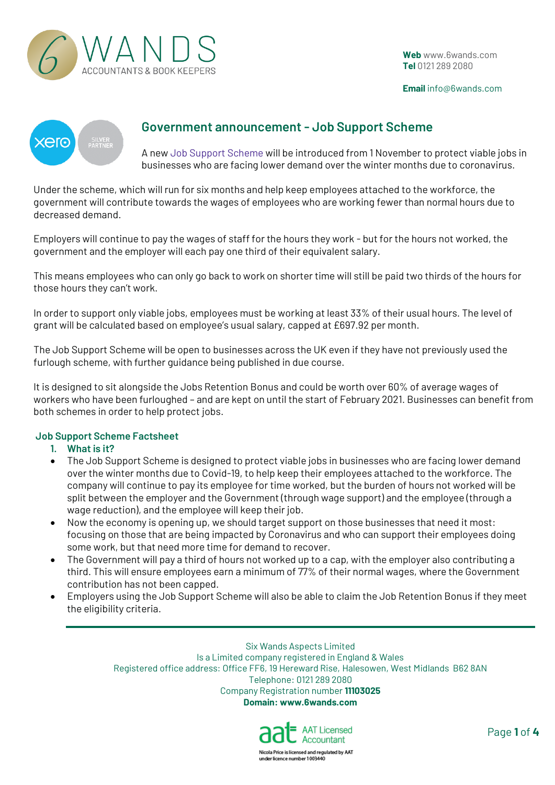

**Web** [www.6wands.com](http://www.6wands.com/)  **Tel** 0121 289 2080

#### **Email** info@6wands.com



# **Government announcement - Job Support Scheme**

A new Job Support Scheme will be introduced from 1 November to protect viable jobs in businesses who are facing lower demand over the winter months due to coronavirus.

Under the scheme, which will run for six months and help keep employees attached to the workforce, the government will contribute towards the wages of employees who are working fewer than normal hours due to decreased demand.

Employers will continue to pay the wages of staff for the hours they work - but for the hours not worked, the government and the employer will each pay one third of their equivalent salary.

This means employees who can only go back to work on shorter time will still be paid two thirds of the hours for those hours they can't work.

In order to support only viable jobs, employees must be working at least 33% of their usual hours. The level of grant will be calculated based on employee's usual salary, capped at £697.92 per month.

The Job Support Scheme will be open to businesses across the UK even if they have not previously used the furlough scheme, with further guidance being published in due course.

It is designed to sit alongside the Jobs Retention Bonus and could be worth over 60% of average wages of workers who have been furloughed – and are kept on until the start of February 2021. Businesses can benefit from both schemes in order to help protect jobs.

#### **Job Support Scheme Factsheet**

- **1. What is it?**
- The Job Support Scheme is designed to protect viable jobs in businesses who are facing lower demand over the winter months due to Covid-19, to help keep their employees attached to the workforce. The company will continue to pay its employee for time worked, but the burden of hours not worked will be split between the employer and the Government (through wage support) and the employee (through a wage reduction), and the employee will keep their job.
- Now the economy is opening up, we should target support on those businesses that need it most: focusing on those that are being impacted by Coronavirus and who can support their employees doing some work, but that need more time for demand to recover.
- The Government will pay a third of hours not worked up to a cap, with the employer also contributing a third. This will ensure employees earn a minimum of 77% of their normal wages, where the Government contribution has not been capped.
- Employers using the Job Support Scheme will also be able to claim the Job Retention Bonus if they meet the eligibility criteria.

Six Wands Aspects Limited Is a Limited company registered in England & Wales Registered office address: Office FF6, 19 Hereward Rise, Halesowen, West Midlands B62 8AN Telephone: 0121 289 2080 Company Registration number **11103025 Domain: www.6wands.com**



Page **1** of **4**

under licence number 1003440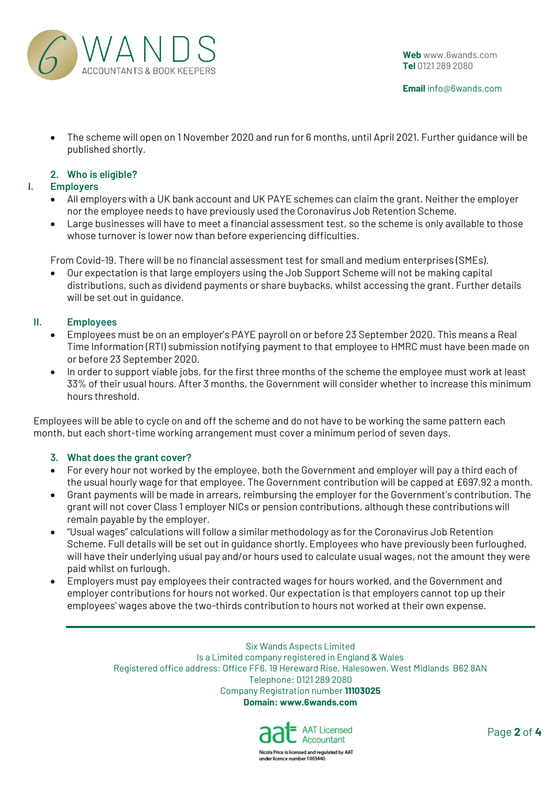

• The scheme will open on 1 November 2020 and run for 6 months, until April 2021. Further guidance will be published shortly.

### **2. Who is eligible?**

### **I. Employers**

- All employers with a UK bank account and UK PAYE schemes can claim the grant. Neither the employer nor the employee needs to have previously used the Coronavirus Job Retention Scheme.
- Large businesses will have to meet a financial assessment test, so the scheme is only available to those whose turnover is lower now than before experiencing difficulties.

From Covid-19. There will be no financial assessment test for small and medium enterprises (SMEs).

• Our expectation is that large employers using the Job Support Scheme will not be making capital distributions, such as dividend payments or share buybacks, whilst accessing the grant. Further details will be set out in guidance.

### **II. Employees**

- Employees must be on an employer's PAYE payroll on or before 23 September 2020. This means a Real Time Information (RTI) submission notifying payment to that employee to HMRC must have been made on or before 23 September 2020.
- In order to support viable jobs, for the first three months of the scheme the employee must work at least 33% of their usual hours. After 3 months, the Government will consider whether to increase this minimum hours threshold.

Employees will be able to cycle on and off the scheme and do not have to be working the same pattern each month, but each short-time working arrangement must cover a minimum period of seven days.

### **3. What does the grant cover?**

- For every hour not worked by the employee, both the Government and employer will pay a third each of the usual hourly wage for that employee. The Government contribution will be capped at £697.92 a month.
- Grant payments will be made in arrears, reimbursing the employer for the Government's contribution. The grant will not cover Class 1 employer NICs or pension contributions, although these contributions will remain payable by the employer.
- "Usual wages" calculations will follow a similar methodology as for the Coronavirus Job Retention Scheme. Full details will be set out in guidance shortly. Employees who have previously been furloughed, will have their underlying usual pay and/or hours used to calculate usual wages, not the amount they were paid whilst on furlough.
- Employers must pay employees their contracted wages for hours worked, and the Government and employer contributions for hours not worked. Our expectation is that employers cannot top up their employees' wages above the two-thirds contribution to hours not worked at their own expense.

Six Wands Aspects Limited Is a Limited company registered in England & Wales Registered office address: Office FF6, 19 Hereward Rise, Halesowen, West Midlands B62 8AN Telephone: 0121 289 2080 Company Registration number **11103025 Domain: www.6wands.com**

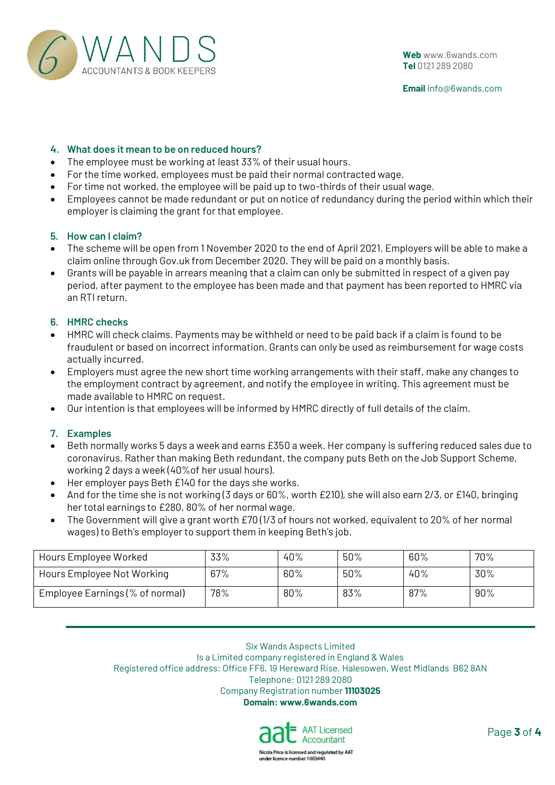

#### **Email** info@6wands.com

### **4. What does it mean to be on reduced hours?**

- The employee must be working at least 33% of their usual hours.
- For the time worked, employees must be paid their normal contracted wage.
- For time not worked, the employee will be paid up to two-thirds of their usual wage.
- Employees cannot be made redundant or put on notice of redundancy during the period within which their employer is claiming the grant for that employee.

## **5. How can I claim?**

- The scheme will be open from 1 November 2020 to the end of April 2021. Employers will be able to make a claim online through Gov.uk from December 2020. They will be paid on a monthly basis.
- Grants will be payable in arrears meaning that a claim can only be submitted in respect of a given pay period, after payment to the employee has been made and that payment has been reported to HMRC via an RTI return.

## **6. HMRC checks**

- HMRC will check claims. Payments may be withheld or need to be paid back if a claim is found to be fraudulent or based on incorrect information. Grants can only be used as reimbursement for wage costs actually incurred.
- Employers must agree the new short time working arrangements with their staff, make any changes to the employment contract by agreement, and notify the employee in writing. This agreement must be made available to HMRC on request.
- Our intention is that employees will be informed by HMRC directly of full details of the claim.

# **7. Examples**

- Beth normally works 5 days a week and earns £350 a week. Her company is suffering reduced sales due to coronavirus. Rather than making Beth redundant, the company puts Beth on the Job Support Scheme, working 2 days a week (40%of her usual hours).
- Her employer pays Beth £140 for the days she works.
- And for the time she is not working (3 days or 60%, worth £210), she will also earn 2/3, or £140, bringing her total earnings to £280, 80% of her normal wage.
- The Government will give a grant worth £70 (1/3 of hours not worked, equivalent to 20% of her normal wages) to Beth's employer to support them in keeping Beth's job.

| Hours Employee Worked           | 33% | 40% | 50% | 60% | 70%    |
|---------------------------------|-----|-----|-----|-----|--------|
| Hours Employee Not Working      | 67% | 60% | 50% | 40% | 30%    |
| Employee Earnings (% of normal) | 78% | 80% | 83% | 87% | $90\%$ |

Six Wands Aspects Limited Is a Limited company registered in England & Wales Registered office address: Office FF6, 19 Hereward Rise, Halesowen, West Midlands B62 8AN Telephone: 0121 289 2080 Company Registration number **11103025 Domain: www.6wands.com**